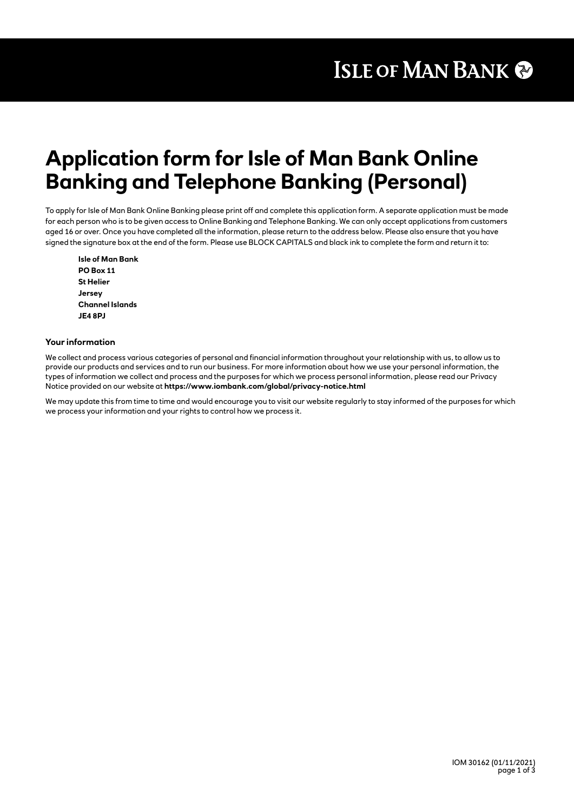# **Application form for Isle of Man Bank Online Banking and Telephone Banking (Personal)**

To apply for Isle of Man Bank Online Banking please print off and complete this application form. A separate application must be made for each person who is to be given access to Online Banking and Telephone Banking. We can only accept applications from customers aged 16 or over. Once you have completed all the information, please return to the address below. Please also ensure that you have signed the signature box at the end of the form. Please use BLOCK CAPITALS and black ink to complete the form and return it to:

**Isle of Man Bank PO Box 11 St Helier Jersey Channel Islands JE4 8PJ**

### **Your information**

We collect and process various categories of personal and financial information throughout your relationship with us, to allow us to provide our products and services and to run our business. For more information about how we use your personal information, the types of information we collect and process and the purposes for which we process personal information, please read our Privacy Notice provided on our website at **https://www.iombank.com/global/privacy-notice.html**

We may update this from time to time and would encourage you to visit our website regularly to stay informed of the purposes for which we process your information and your rights to control how we process it.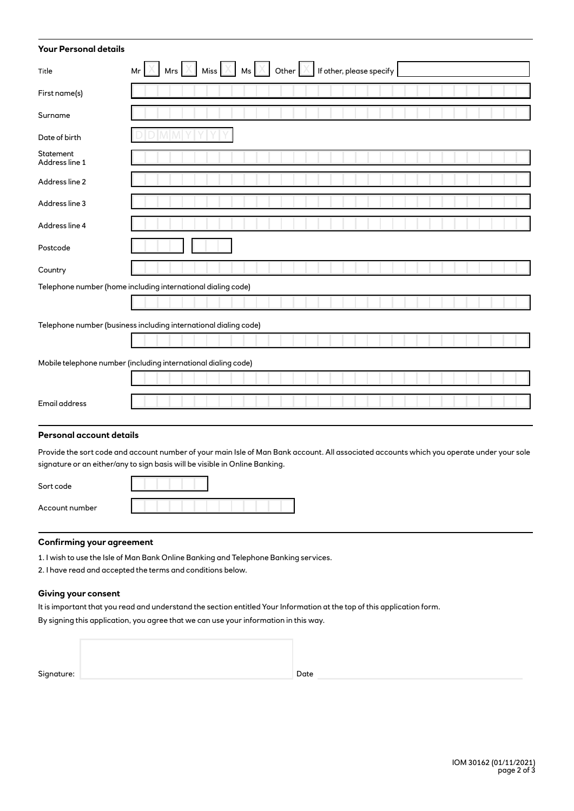| <b>Your Personal details</b>                                     |                                                                                   |  |  |  |
|------------------------------------------------------------------|-----------------------------------------------------------------------------------|--|--|--|
| Title                                                            | Miss $X$ Ms $X$ Other $X$<br>Mrs $ \mathbb{X} $<br>If other, please specify<br>Mr |  |  |  |
| First name(s)                                                    |                                                                                   |  |  |  |
| Surname                                                          |                                                                                   |  |  |  |
| Date of birth                                                    |                                                                                   |  |  |  |
| Statement<br>Address line 1                                      |                                                                                   |  |  |  |
| Address line 2                                                   |                                                                                   |  |  |  |
| Address line 3                                                   |                                                                                   |  |  |  |
| Address line 4                                                   |                                                                                   |  |  |  |
| Postcode                                                         |                                                                                   |  |  |  |
| Country                                                          |                                                                                   |  |  |  |
| Telephone number (home including international dialing code)     |                                                                                   |  |  |  |
|                                                                  |                                                                                   |  |  |  |
| Telephone number (business including international dialing code) |                                                                                   |  |  |  |
|                                                                  |                                                                                   |  |  |  |
| Mobile telephone number (including international dialing code)   |                                                                                   |  |  |  |
|                                                                  |                                                                                   |  |  |  |
| Email address                                                    |                                                                                   |  |  |  |
| <b>Personal account details</b>                                  |                                                                                   |  |  |  |

Provide the sort code and account number of your main Isle of Man Bank account. All associated accounts which you operate under your sole signature or an either/any to sign basis will be visible in Online Banking.

| Sort code      |  |
|----------------|--|
| Account number |  |

# **Confirming your agreement**

1. I wish to use the Isle of Man Bank Online Banking and Telephone Banking services.

2. I have read and accepted the terms and conditions below.

# **Giving your consent**

It is important that you read and understand the section entitled Your Information at the top of this application form.

By signing this application, you agree that we can use your information in this way.

| Signature: | Date |
|------------|------|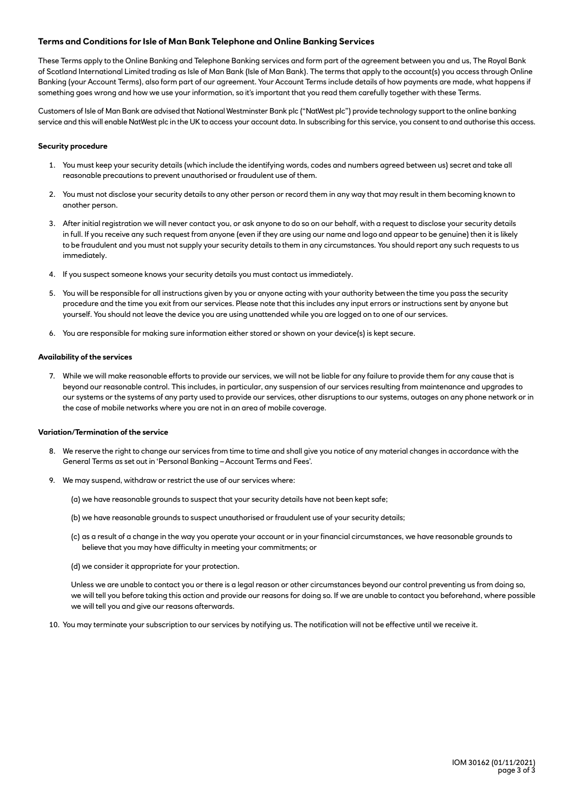## **Terms and Conditions for Isle of Man Bank Telephone and Online Banking Services**

These Terms apply to the Online Banking and Telephone Banking services and form part of the agreement between you and us, The Royal Bank of Scotland International Limited trading as Isle of Man Bank (Isle of Man Bank). The terms that apply to the account(s) you access through Online Banking (your Account Terms), also form part of our agreement. Your Account Terms include details of how payments are made, what happens if something goes wrong and how we use your information, so it's important that you read them carefully together with these Terms.

Customers of Isle of Man Bank are advised that National Westminster Bank plc ("NatWest plc") provide technology support to the online banking service and this will enable NatWest plc in the UK to access your account data. In subscribing for this service, you consent to and authorise this access.

#### **Security procedure**

- 1. You must keep your security details (which include the identifying words, codes and numbers agreed between us) secret and take all reasonable precautions to prevent unauthorised or fraudulent use of them.
- 2. You must not disclose your security details to any other person or record them in any way that may result in them becoming known to another person.
- 3. After initial registration we will never contact you, or ask anyone to do so on our behalf, with a request to disclose your security details in full. If you receive any such request from anyone (even if they are using our name and logo and appear to be genuine) then it is likely to be fraudulent and you must not supply your security details to them in any circumstances. You should report any such requests to us immediately.
- 4. If you suspect someone knows your security details you must contact us immediately.
- 5. You will be responsible for all instructions given by you or anyone acting with your authority between the time you pass the security procedure and the time you exit from our services. Please note that this includes any input errors or instructions sent by anyone but yourself. You should not leave the device you are using unattended while you are logged on to one of our services.
- 6. You are responsible for making sure information either stored or shown on your device(s) is kept secure.

#### **Availability of the services**

7. While we will make reasonable efforts to provide our services, we will not be liable for any failure to provide them for any cause that is beyond our reasonable control. This includes, in particular, any suspension of our services resulting from maintenance and upgrades to our systems or the systems of any party used to provide our services, other disruptions to our systems, outages on any phone network or in the case of mobile networks where you are not in an area of mobile coverage.

#### **Variation/Termination of the service**

- 8. We reserve the right to change our services from time to time and shall give you notice of any material changes in accordance with the General Terms as set out in 'Personal Banking – Account Terms and Fees'.
- 9. We may suspend, withdraw or restrict the use of our services where:
	- (a) we have reasonable grounds to suspect that your security details have not been kept safe;
	- (b) we have reasonable grounds to suspect unauthorised or fraudulent use of your security details;
	- (c) as a result of a change in the way you operate your account or in your financial circumstances, we have reasonable grounds to believe that you may have difficulty in meeting your commitments; or
	- (d) we consider it appropriate for your protection.

Unless we are unable to contact you or there is a legal reason or other circumstances beyond our control preventing us from doing so, we will tell you before taking this action and provide our reasons for doing so. If we are unable to contact you beforehand, where possible we will tell you and give our reasons afterwards.

10. You may terminate your subscription to our services by notifying us. The notification will not be effective until we receive it.